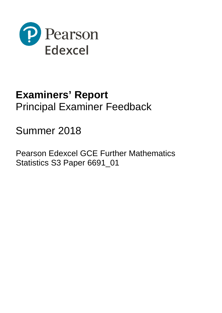

## **Examiners' Report** Principal Examiner Feedback

# Summer 2018

Pearson Edexcel GCE Further Mathematics Statistics S3 Paper 6691\_01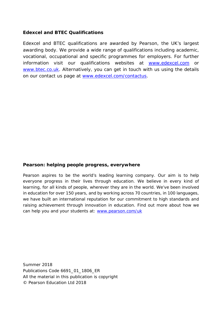## **Edexcel and BTEC Qualifications**

Edexcel and BTEC qualifications are awarded by Pearson, the UK's largest awarding body. We provide a wide range of qualifications including academic, vocational, occupational and specific programmes for employers. For further information visit our qualifications websites at [www.edexcel.com](http://www.edexcel.com/) or [www.btec.co.uk.](http://www.btec.co.uk/) Alternatively, you can get in touch with us using the details on our contact us page at [www.edexcel.com/contactus.](http://www.edexcel.com/contactus)

## **Pearson: helping people progress, everywhere**

Pearson aspires to be the world's leading learning company. Our aim is to help everyone progress in their lives through education. We believe in every kind of learning, for all kinds of people, wherever they are in the world. We've been involved in education for over 150 years, and by working across 70 countries, in 100 languages, we have built an international reputation for our commitment to high standards and raising achievement through innovation in education. Find out more about how we can help you and your students at: [www.pearson.com/uk](http://www.pearson.com/uk)

Summer 2018 Publications Code 6691\_01\_1806\_ER All the material in this publication is copyright © Pearson Education Ltd 2018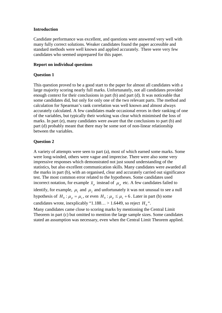#### **Introduction**

Candidate performance was excellent, and questions were answered very well with many fully correct solutions. Weaker candidates found the paper accessible and standard methods were well known and applied accurately. There were very few candidates who seemed unprepared for this paper.

#### **Report on individual questions**

#### **Question 1**

This question proved to be a good start to the paper for almost all candidates with a large majority scoring nearly full marks. Unfortunately, not all candidates provided enough context for their conclusions in part (b) and part (d). It was noticeable that some candidates did, but only for only one of the two relevant parts. The method and calculation for Spearman's rank correlation was well known and almost always accurately calculated. A few candidates made occasional errors in their ranking of one of the variables, but typically their working was clear which minimised the loss of marks. In part (e), many candidates were aware that the conclusions to part (b) and part (d) probably meant that there may be some sort of non-linear relationship between the variables.

### **Question 2**

A variety of attempts were seen to part (a), most of which earned some marks. Some were long-winded, others were vague and imprecise. There were also some very impressive responses which demonstrated not just sound understanding of the statistics, but also excellent communication skills. Many candidates were awarded all the marks in part (b), with an organised, clear and accurately carried out significance test. The most common error related to the hypotheses. Some candidates used incorrect notation, for example  $\bar{x}_p$  instead of  $\mu_p$  etc. A few candidates failed to identify, for example,  $\mu_1$  and  $\mu_2$  and unfortunately it was not unusual to see a null

hypothesis of  $H_0: \mu_p = \mu_s$ , or even  $H_0: \mu_p \leq \mu_s + 6$ . Later in part (b) some candidates wrote, inexplicably "1.188... > 1.6449, so reject  $H_0$ ".

Many candidates came close to scoring marks by mentioning the Central Limit Theorem in part (c) but omitted to mention the large sample sizes. Some candidates stated an assumption was necessary, even when the Central Limit Theorem applied.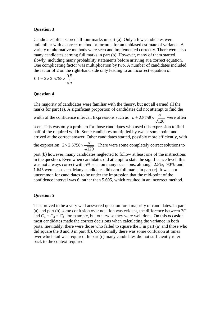#### **Question 3**

Candidates often scored all four marks in part (a). Only a few candidates were unfamiliar with a correct method or formula for an unbiased estimate of variance. A variety of alternative methods were seen and implemented correctly. There were also many candidates earning full marks in part (b). However, many of them started slowly, including many probability statements before arriving at a correct equation. One complicating factor was multiplication by two. A number of candidates included the factor of 2 on the right-hand side only leading to an incorrect equation of

$$
0.1 = 2 \times 2.5758 \times \frac{0.5}{\sqrt{n}}.
$$

#### **Question 4**

The majority of candidates were familiar with the theory, but not all earned all the marks for part (a). A significant proportion of candidates did not attempt to find the

width of the confidence interval. Expressions such as  $\mu \pm 2.5758 \times \frac{\sigma}{\sqrt{120}}$  were often

seen. This was only a problem for those candidates who used this expression to find half of the required width. Some candidates multiplied by two at some point and arrived at the correct answer. Other candidates started, possibly more efficiently, with

the expression  $2 \times 2.5758 \times \frac{\sigma}{\sqrt{120}}$ . There were some completely correct solutions to

part (b) however, many candidates neglected to follow at least one of the instructions in the question. Even when candidates did attempt to state the significance level, this was not always correct with 5% seen on many occasions, although 2.5%, 90% and 1.645 were also seen. Many candidates did earn full marks in part (c). It was not uncommon for candidates to be under the impression that the mid-point of the confidence interval was 6, rather than 5.695, which resulted in an incorrect method.

#### **Question 5**

This proved to be a very well answered question for a majority of candidates. In part (a) and part (b) some confusion over notation was evident, the difference between 3*C* and  $C_1 + C_2 + C_3$  for example, but otherwise they were well done. On this occasion most candidates made the correct decisions when calculating the variance in both parts. Inevitably, there were those who failed to square the 3 in part (a) and those who did square the 8 and 3 in part (b). Occasionally there was some confusion at times over which tail was required. In part (c) many candidates did not sufficiently refer back to the context required.